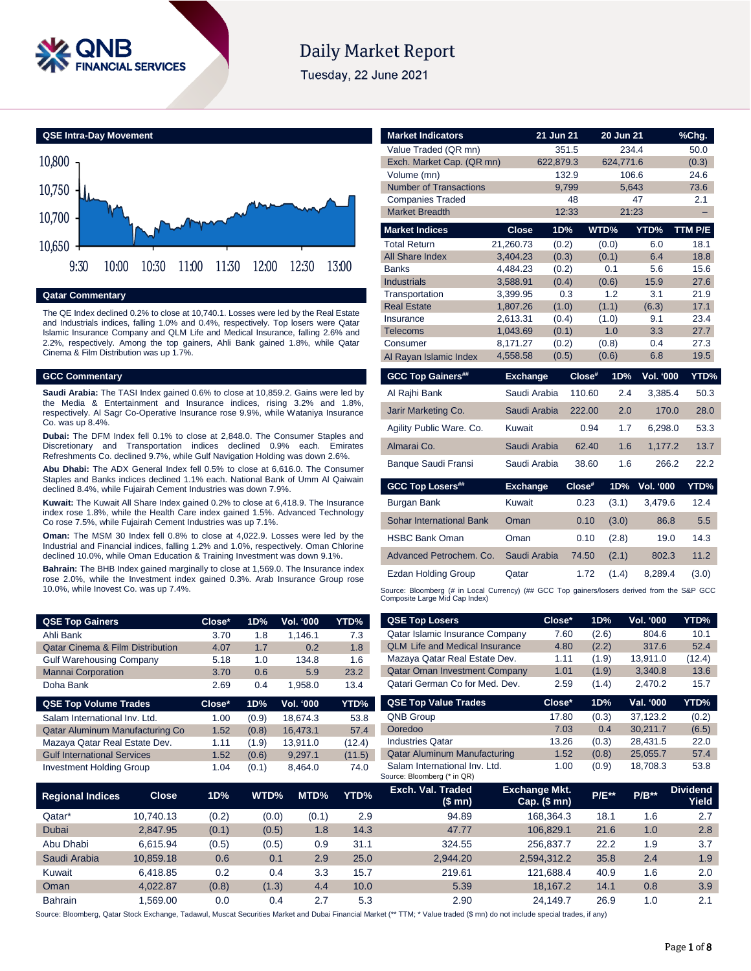

# **Daily Market Report**

Tuesday, 22 June 2021



### **Qatar Commentary**

The QE Index declined 0.2% to close at 10,740.1. Losses were led by the Real Estate and Industrials indices, falling 1.0% and 0.4%, respectively. Top losers were Qatar Islamic Insurance Company and QLM Life and Medical Insurance, falling 2.6% and 2.2%, respectively. Among the top gainers, Ahli Bank gained 1.8%, while Qatar Cinema & Film Distribution was up 1.7%.

### **GCC Commentary**

**Saudi Arabia:** The TASI Index gained 0.6% to close at 10,859.2. Gains were led by the Media & Entertainment and Insurance indices, rising 3.2% and 1.8%, respectively. Al Sagr Co-Operative Insurance rose 9.9%, while Wataniya Insurance Co. was up 8.4%.

**Dubai:** The DFM Index fell 0.1% to close at 2,848.0. The Consumer Staples and Discretionary and Transportation indices declined 0.9% each. Emirates Refreshments Co. declined 9.7%, while Gulf Navigation Holding was down 2.6%.

**Abu Dhabi:** The ADX General Index fell 0.5% to close at 6,616.0. The Consumer Staples and Banks indices declined 1.1% each. National Bank of Umm Al Qaiwain declined 8.4%, while Fujairah Cement Industries was down 7.9%.

**Kuwait:** The Kuwait All Share Index gained 0.2% to close at 6,418.9. The Insurance index rose 1.8%, while the Health Care index gained 1.5%. Advanced Technology Co rose 7.5%, while Fujairah Cement Industries was up 7.1%.

**Oman:** The MSM 30 Index fell 0.8% to close at 4,022.9. Losses were led by the Industrial and Financial indices, falling 1.2% and 1.0%, respectively. Oman Chlorine declined 10.0%, while Oman Education & Training Investment was down 9.1%.

**Bahrain:** The BHB Index gained marginally to close at 1,569.0. The Insurance index rose 2.0%, while the Investment index gained 0.3%. Arab Insurance Group rose 10.0%, while Inovest Co. was up 7.4%.

| <b>QSE Top Gainers</b>                      | Close* | 1D% | <b>Vol. '000</b> | YTD% |
|---------------------------------------------|--------|-----|------------------|------|
| Ahli Bank                                   | 3.70   | 1.8 | 1,146.1          | 7.3  |
| <b>Qatar Cinema &amp; Film Distribution</b> | 4.07   | 1.7 | 0.2              | 1.8  |
| <b>Gulf Warehousing Company</b>             | 5.18   | 1.0 | 134.8            | 1.6  |
| <b>Mannai Corporation</b>                   | 3.70   | 0.6 | 5.9              | 23.2 |
| Doha Bank                                   | 2.69   | 0.4 | 1.958.0          | 13.4 |

| <b>QSE Top Volume Trades</b>       | Close* | 1D%   | <b>Vol. '000</b> | YTD%   |
|------------------------------------|--------|-------|------------------|--------|
| Salam International Inv. Ltd.      | 1.00   | (0.9) | 18,674.3         | 53.8   |
| Qatar Aluminum Manufacturing Co    | 1.52   | (0.8) | 16.473.1         | 57.4   |
| Mazaya Qatar Real Estate Dev.      | 1.11   | (1.9) | 13.911.0         | (12.4) |
| <b>Gulf International Services</b> | 1.52   | (0.6) | 9.297.1          | (11.5) |
| <b>Investment Holding Group</b>    | 1.04   | (0.1) | 8.464.0          | 74.0   |

| <b>Market Indicators</b>                     |                      | 21 Jun 21      | 20 Jun 21        |                  | %Chg.        |
|----------------------------------------------|----------------------|----------------|------------------|------------------|--------------|
| Value Traded (QR mn)                         |                      | 351.5          |                  | 234.4            | 50.0         |
| Exch. Market Cap. (QR mn)                    |                      | 622,879.3      | 624,771.6        |                  | (0.3)        |
| Volume (mn)<br><b>Number of Transactions</b> |                      | 132.9<br>9.799 |                  | 106.6<br>5.643   | 24.6         |
| <b>Companies Traded</b>                      |                      | 48             |                  | 47               | 73.6<br>2.1  |
| <b>Market Breadth</b>                        |                      | 12:33          |                  | 21:23            |              |
|                                              |                      |                |                  |                  |              |
| <b>Market Indices</b>                        | <b>Close</b>         | 1D%            | WTD%             | YTD%             | TTM P/E      |
| <b>Total Return</b>                          | 21,260.73            | (0.2)          | (0.0)            | 6.0              | 18.1         |
| All Share Index                              | 3,404.23             | (0.3)          | (0.1)            | 6.4              | 18.8         |
| <b>Banks</b>                                 | 4,484.23             | (0.2)          | 0.1              | 5.6              | 15.6         |
| <b>Industrials</b>                           | 3.588.91             | (0.4)          | (0.6)            | 15.9             | 27.6         |
| Transportation                               | 3.399.95             | 0.3            | 1.2              | 3.1              | 21.9         |
| <b>Real Estate</b>                           | 1.807.26             | (1.0)          | (1.1)            | (6.3)            | 17.1         |
| Insurance<br>Telecoms                        | 2.613.31<br>1,043.69 | (0.4)<br>(0.1) | (1.0)<br>1.0     | 9.1<br>3.3       | 23.4<br>27.7 |
| Consumer                                     | 8,171.27             | (0.2)          | (0.8)            | 0.4              | 27.3         |
| Al Rayan Islamic Index                       | 4,558.58             | (0.5)          | (0.6)            | 6.8              | 19.5         |
|                                              |                      |                |                  |                  |              |
|                                              |                      |                |                  |                  |              |
| <b>GCC Top Gainers##</b>                     | <b>Exchange</b>      |                | $Close^*$<br>1D% | <b>Vol. '000</b> | YTD%         |
| Al Rajhi Bank                                | Saudi Arabia         |                | 110.60<br>2.4    | 3.385.4          | 50.3         |
| Jarir Marketing Co.                          | Saudi Arabia         |                | 222.00<br>2.0    | 170.0            | 28.0         |
| Agility Public Ware, Co.                     | Kuwait               |                | 1.7<br>0.94      | 6.298.0          | 53.3         |
| Almarai Co.                                  | Saudi Arabia         |                | 62.40<br>1.6     | 1,177.2          | 13.7         |
| Banque Saudi Fransi                          | Saudi Arabia         |                | 38.60<br>1.6     | 266.2            | 22.2         |
| <b>GCC Top Losers##</b>                      | <b>Exchange</b>      | $Close^*$      | 1D%              | <b>Vol. '000</b> | YTD%         |
| <b>Burgan Bank</b>                           | Kuwait               |                | 0.23<br>(3.1)    | 3.479.6          | 12.4         |
| Sohar International Bank                     | Oman                 |                | 0.10<br>(3.0)    | 86.8             | 5.5          |
| <b>HSBC Bank Oman</b>                        | Oman                 |                | 0.10<br>(2.8)    | 19.0             | 14.3         |
| Advanced Petrochem. Co.                      | Saudi Arabia         | 74.50          | (2.1)            | 802.3            | 11.2         |
| Ezdan Holding Group                          | Qatar                |                | 1.72<br>(1.4)    | 8.289.4          | (3.0)        |

| <b>QSE Top Gainers</b>                      |              | Close* | 1D%   | Vol. '000  | YTD%   | <b>QSE Top Losers</b>                                                                                                                                                       | Close*                                   | 1D%      | Vol. '000 | YTD%                     |
|---------------------------------------------|--------------|--------|-------|------------|--------|-----------------------------------------------------------------------------------------------------------------------------------------------------------------------------|------------------------------------------|----------|-----------|--------------------------|
| Ahli Bank                                   |              | 3.70   | 1.8   | 1,146.1    | 7.3    | Qatar Islamic Insurance Company                                                                                                                                             | 7.60                                     | (2.6)    | 804.6     | 10.1                     |
| <b>Qatar Cinema &amp; Film Distribution</b> |              | 4.07   | 1.7   | 0.2        | 1.8    | <b>QLM Life and Medical Insurance</b>                                                                                                                                       | 4.80                                     | (2.2)    | 317.6     | 52.4                     |
| <b>Gulf Warehousing Company</b>             |              | 5.18   | 1.0   | 134.8      | 1.6    | Mazaya Qatar Real Estate Dev.                                                                                                                                               | 1.11                                     | (1.9)    | 13,911.0  | (12.4)                   |
| <b>Mannai Corporation</b>                   |              | 3.70   | 0.6   | 5.9        | 23.2   | <b>Qatar Oman Investment Company</b>                                                                                                                                        | 1.01                                     | (1.9)    | 3,340.8   | 13.6                     |
| Doha Bank                                   |              | 2.69   | 0.4   | 1,958.0    | 13.4   | Qatari German Co for Med. Dev.                                                                                                                                              | 2.59                                     | (1.4)    | 2,470.2   | 15.7                     |
| <b>QSE Top Volume Trades</b>                |              | Close* | 1D%   | Vol. '000  | YTD%   | <b>QSE Top Value Trades</b>                                                                                                                                                 | Close*                                   | 1D%      | Val. '000 | YTD%                     |
| Salam International Inv. Ltd.               |              | 1.00   | (0.9) | 18,674.3   | 53.8   | <b>QNB Group</b>                                                                                                                                                            | 17.80                                    | (0.3)    | 37,123.2  | (0.2)                    |
| Qatar Aluminum Manufacturing Co             |              | 1.52   | (0.8) | 16,473.1   | 57.4   | Ooredoo                                                                                                                                                                     | 7.03                                     | 0.4      | 30,211.7  | (6.5)                    |
| Mazaya Qatar Real Estate Dev.               |              | 1.11   | (1.9) | 13,911.0   | (12.4) | <b>Industries Qatar</b>                                                                                                                                                     | 13.26                                    | (0.3)    | 28,431.5  | 22.0                     |
| <b>Gulf International Services</b>          |              | 1.52   | (0.6) | 9,297.1    | (11.5) | <b>Qatar Aluminum Manufacturing</b>                                                                                                                                         | 1.52                                     | (0.8)    | 25,055.7  | 57.4                     |
| <b>Investment Holding Group</b>             |              | 1.04   | (0.1) | 8,464.0    | 74.0   | Salam International Inv. Ltd.<br>Source: Bloomberg (* in QR)                                                                                                                | 1.00                                     | (0.9)    | 18,708.3  | 53.8                     |
| <b>Regional Indices</b>                     | <b>Close</b> | 1D%    | WTD%  | MTD%       | YTD%   | Exch. Val. Traded<br>(\$mn)                                                                                                                                                 | <b>Exchange Mkt.</b><br>Cap. $($$ mn $)$ | $P/E***$ | $P/B**$   | <b>Dividend</b><br>Yield |
| Qatar*                                      | 10,740.13    | (0.2)  | (0.0) | (0.1)      | 2.9    | 94.89                                                                                                                                                                       | 168,364.3                                | 18.1     | 1.6       | 2.7                      |
| Dubai                                       | 2,847.95     | (0.1)  | (0.5) | 1.8        | 14.3   | 47.77                                                                                                                                                                       | 106,829.1                                | 21.6     | 1.0       | 2.8                      |
| Abu Dhabi                                   | 6,615.94     | (0.5)  | (0.5) | 0.9        | 31.1   | 324.55                                                                                                                                                                      | 256,837.7                                | 22.2     | 1.9       | 3.7                      |
| Saudi Arabia                                | 10,859.18    | 0.6    |       | 2.9<br>0.1 | 25.0   | 2,944.20                                                                                                                                                                    | 2,594,312.2                              | 35.8     | 2.4       | 1.9                      |
| Kuwait                                      | 6,418.85     | 0.2    |       | 3.3<br>0.4 | 15.7   | 219.61                                                                                                                                                                      | 121,688.4                                | 40.9     | 1.6       | 2.0                      |
| Oman                                        | 4,022.87     | (0.8)  | (1.3) | 4.4        | 10.0   | 5.39                                                                                                                                                                        | 18,167.2                                 | 14.1     | 0.8       | 3.9                      |
| <b>Bahrain</b>                              | 1,569.00     | 0.0    |       | 0.4<br>2.7 | 5.3    | 2.90                                                                                                                                                                        | 24,149.7                                 | 26.9     | 1.0       | 2.1                      |
|                                             |              |        |       |            |        | uurce: Bloomberg, Qatar Stock Exchange, Tadawul, Muscat Securities Market and Dubai Financial Market (** TTM: * Value traded (\$ mn) do not include special trades, if any) |                                          |          |           |                          |

Source: Bloomberg, Qatar Stock Exchange, Tadawul,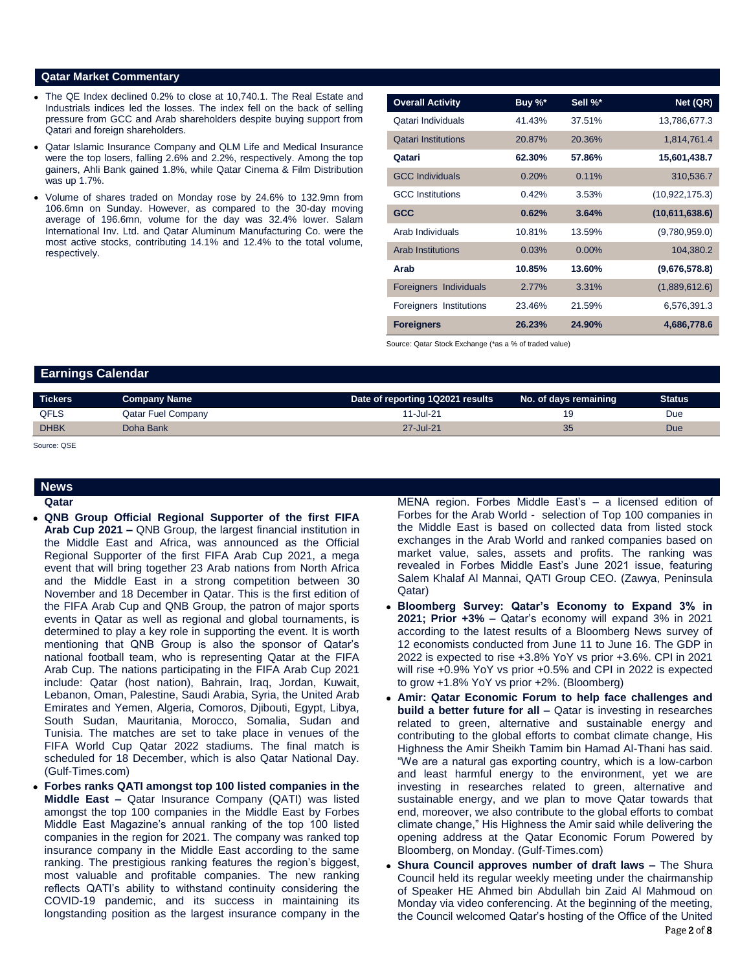### **Qatar Market Commentary**

- The QE Index declined 0.2% to close at 10,740.1. The Real Estate and Industrials indices led the losses. The index fell on the back of selling pressure from GCC and Arab shareholders despite buying support from Qatari and foreign shareholders.
- Qatar Islamic Insurance Company and QLM Life and Medical Insurance were the top losers, falling 2.6% and 2.2%, respectively. Among the top gainers, Ahli Bank gained 1.8%, while Qatar Cinema & Film Distribution was up 1.7%.
- Volume of shares traded on Monday rose by 24.6% to 132.9mn from 106.6mn on Sunday. However, as compared to the 30-day moving average of 196.6mn, volume for the day was 32.4% lower. Salam International Inv. Ltd. and Qatar Aluminum Manufacturing Co. were the most active stocks, contributing 14.1% and 12.4% to the total volume, respectively.

| <b>Overall Activity</b>    | Buy %* | Sell %*  | Net (QR)         |
|----------------------------|--------|----------|------------------|
| Qatari Individuals         | 41.43% | 37.51%   | 13,786,677.3     |
| <b>Qatari Institutions</b> | 20.87% | 20.36%   | 1,814,761.4      |
| Qatari                     | 62.30% | 57.86%   | 15,601,438.7     |
| <b>GCC Individuals</b>     | 0.20%  | 0.11%    | 310,536.7        |
| <b>GCC</b> Institutions    | 0.42%  | 3.53%    | (10, 922, 175.3) |
| <b>GCC</b>                 | 0.62%  | 3.64%    | (10,611,638.6)   |
| Arab Individuals           | 10.81% | 13.59%   | (9,780,959.0)    |
| <b>Arab Institutions</b>   | 0.03%  | $0.00\%$ | 104,380.2        |
| Arab                       | 10.85% | 13.60%   | (9,676,578.8)    |
| Foreigners Individuals     | 2.77%  | 3.31%    | (1,889,612.6)    |
| Foreigners Institutions    | 23.46% | 21.59%   | 6,576,391.3      |
| <b>Foreigners</b>          | 26.23% | 24.90%   | 4,686,778.6      |

Source: Qatar Stock Exchange (\*as a % of traded value)

## **Earnings Calendar**

| <b>Tickers</b> | <b>Company Name</b>       | Date of reporting 1Q2021 results | No. of days remaining | <b>Status</b> |
|----------------|---------------------------|----------------------------------|-----------------------|---------------|
| <b>QFLS</b>    | <b>Qatar Fuel Company</b> | $11 -$ Jul-21                    | 19                    | Due           |
| <b>DHBK</b>    | Doha Bank                 | 27-Jul-21                        | 35                    | Due           |
|                |                           |                                  |                       |               |

Source: QSE

### **News Qatar**

- **QNB Group Official Regional Supporter of the first FIFA Arab Cup 2021 –** QNB Group, the largest financial institution in the Middle East and Africa, was announced as the Official Regional Supporter of the first FIFA Arab Cup 2021, a mega event that will bring together 23 Arab nations from North Africa and the Middle East in a strong competition between 30 November and 18 December in Qatar. This is the first edition of the FIFA Arab Cup and QNB Group, the patron of major sports events in Qatar as well as regional and global tournaments, is determined to play a key role in supporting the event. It is worth mentioning that QNB Group is also the sponsor of Qatar's national football team, who is representing Qatar at the FIFA Arab Cup. The nations participating in the FIFA Arab Cup 2021 include: Qatar (host nation), Bahrain, Iraq, Jordan, Kuwait, Lebanon, Oman, Palestine, Saudi Arabia, Syria, the United Arab Emirates and Yemen, Algeria, Comoros, Djibouti, Egypt, Libya, South Sudan, Mauritania, Morocco, Somalia, Sudan and Tunisia. The matches are set to take place in venues of the FIFA World Cup Qatar 2022 stadiums. The final match is scheduled for 18 December, which is also Qatar National Day. (Gulf-Times.com)
- **Forbes ranks QATI amongst top 100 listed companies in the Middle East –** Qatar Insurance Company (QATI) was listed amongst the top 100 companies in the Middle East by Forbes Middle East Magazine's annual ranking of the top 100 listed companies in the region for 2021. The company was ranked top insurance company in the Middle East according to the same ranking. The prestigious ranking features the region's biggest, most valuable and profitable companies. The new ranking reflects QATI's ability to withstand continuity considering the COVID-19 pandemic, and its success in maintaining its longstanding position as the largest insurance company in the

MENA region. Forbes Middle East's – a licensed edition of Forbes for the Arab World - selection of Top 100 companies in the Middle East is based on collected data from listed stock exchanges in the Arab World and ranked companies based on market value, sales, assets and profits. The ranking was revealed in Forbes Middle East's June 2021 issue, featuring Salem Khalaf Al Mannai, QATI Group CEO. (Zawya, Peninsula Qatar)

- **Bloomberg Survey: Qatar's Economy to Expand 3% in 2021; Prior +3% –** Qatar's economy will expand 3% in 2021 according to the latest results of a Bloomberg News survey of 12 economists conducted from June 11 to June 16. The GDP in 2022 is expected to rise +3.8% YoY vs prior +3.6%. CPI in 2021 will rise +0.9% YoY vs prior +0.5% and CPI in 2022 is expected to grow +1.8% YoY vs prior +2%. (Bloomberg)
- **Amir: Qatar Economic Forum to help face challenges and build a better future for all –** Qatar is investing in researches related to green, alternative and sustainable energy and contributing to the global efforts to combat climate change, His Highness the Amir Sheikh Tamim bin Hamad Al-Thani has said. "We are a natural gas exporting country, which is a low-carbon and least harmful energy to the environment, yet we are investing in researches related to green, alternative and sustainable energy, and we plan to move Qatar towards that end, moreover, we also contribute to the global efforts to combat climate change," His Highness the Amir said while delivering the opening address at the Qatar Economic Forum Powered by Bloomberg, on Monday. (Gulf-Times.com)
- **Shura Council approves number of draft laws –** The Shura Council held its regular weekly meeting under the chairmanship of Speaker HE Ahmed bin Abdullah bin Zaid Al Mahmoud on Monday via video conferencing. At the beginning of the meeting, the Council welcomed Qatar's hosting of the Office of the United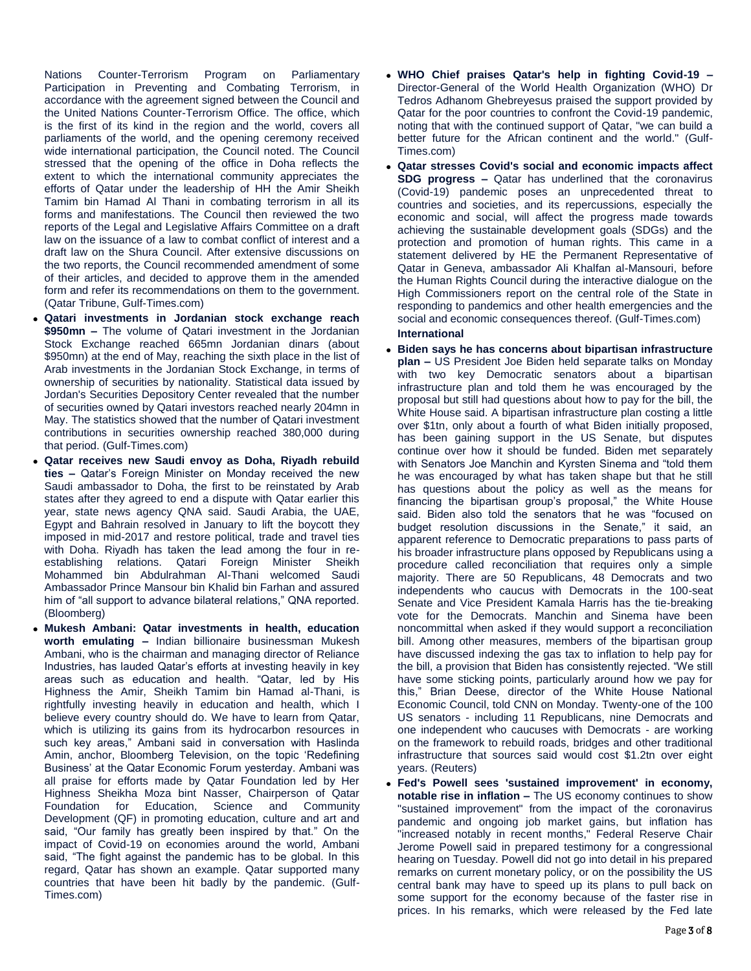Nations Counter-Terrorism Program on Parliamentary Participation in Preventing and Combating Terrorism, in accordance with the agreement signed between the Council and the United Nations Counter-Terrorism Office. The office, which is the first of its kind in the region and the world, covers all parliaments of the world, and the opening ceremony received wide international participation, the Council noted. The Council stressed that the opening of the office in Doha reflects the extent to which the international community appreciates the efforts of Qatar under the leadership of HH the Amir Sheikh Tamim bin Hamad Al Thani in combating terrorism in all its forms and manifestations. The Council then reviewed the two reports of the Legal and Legislative Affairs Committee on a draft law on the issuance of a law to combat conflict of interest and a draft law on the Shura Council. After extensive discussions on the two reports, the Council recommended amendment of some of their articles, and decided to approve them in the amended form and refer its recommendations on them to the government. (Qatar Tribune, Gulf-Times.com)

- **Qatari investments in Jordanian stock exchange reach \$950mn –** The volume of Qatari investment in the Jordanian Stock Exchange reached 665mn Jordanian dinars (about \$950mn) at the end of May, reaching the sixth place in the list of Arab investments in the Jordanian Stock Exchange, in terms of ownership of securities by nationality. Statistical data issued by Jordan's Securities Depository Center revealed that the number of securities owned by Qatari investors reached nearly 204mn in May. The statistics showed that the number of Qatari investment contributions in securities ownership reached 380,000 during that period. (Gulf-Times.com)
- **Qatar receives new Saudi envoy as Doha, Riyadh rebuild ties –** Qatar's Foreign Minister on Monday received the new Saudi ambassador to Doha, the first to be reinstated by Arab states after they agreed to end a dispute with Qatar earlier this year, state news agency QNA said. Saudi Arabia, the UAE, Egypt and Bahrain resolved in January to lift the boycott they imposed in mid-2017 and restore political, trade and travel ties with Doha. Riyadh has taken the lead among the four in reestablishing relations. Qatari Foreign Minister Sheikh Mohammed bin Abdulrahman Al-Thani welcomed Saudi Ambassador Prince Mansour bin Khalid bin Farhan and assured him of "all support to advance bilateral relations," QNA reported. (Bloomberg)
- **Mukesh Ambani: Qatar investments in health, education worth emulating –** Indian billionaire businessman Mukesh Ambani, who is the chairman and managing director of Reliance Industries, has lauded Qatar's efforts at investing heavily in key areas such as education and health. "Qatar, led by His Highness the Amir, Sheikh Tamim bin Hamad al-Thani, is rightfully investing heavily in education and health, which I believe every country should do. We have to learn from Qatar, which is utilizing its gains from its hydrocarbon resources in such key areas," Ambani said in conversation with Haslinda Amin, anchor, Bloomberg Television, on the topic 'Redefining Business' at the Qatar Economic Forum yesterday. Ambani was all praise for efforts made by Qatar Foundation led by Her Highness Sheikha Moza bint Nasser, Chairperson of Qatar Foundation for Education, Science and Community Development (QF) in promoting education, culture and art and said, "Our family has greatly been inspired by that." On the impact of Covid-19 on economies around the world, Ambani said, "The fight against the pandemic has to be global. In this regard, Qatar has shown an example. Qatar supported many countries that have been hit badly by the pandemic. (Gulf-Times.com)
- **WHO Chief praises Qatar's help in fighting Covid-19 –** Director-General of the World Health Organization (WHO) Dr Tedros Adhanom Ghebreyesus praised the support provided by Qatar for the poor countries to confront the Covid-19 pandemic, noting that with the continued support of Qatar, "we can build a better future for the African continent and the world." (Gulf-Times.com)
- **Qatar stresses Covid's social and economic impacts affect SDG progress –** Qatar has underlined that the coronavirus (Covid-19) pandemic poses an unprecedented threat to countries and societies, and its repercussions, especially the economic and social, will affect the progress made towards achieving the sustainable development goals (SDGs) and the protection and promotion of human rights. This came in a statement delivered by HE the Permanent Representative of Qatar in Geneva, ambassador Ali Khalfan al-Mansouri, before the Human Rights Council during the interactive dialogue on the High Commissioners report on the central role of the State in responding to pandemics and other health emergencies and the social and economic consequences thereof. (Gulf-Times.com) **International**
- **Biden says he has concerns about bipartisan infrastructure plan –** US President Joe Biden held separate talks on Monday with two key Democratic senators about a bipartisan infrastructure plan and told them he was encouraged by the proposal but still had questions about how to pay for the bill, the White House said. A bipartisan infrastructure plan costing a little over \$1tn, only about a fourth of what Biden initially proposed, has been gaining support in the US Senate, but disputes continue over how it should be funded. Biden met separately with Senators Joe Manchin and Kyrsten Sinema and "told them he was encouraged by what has taken shape but that he still has questions about the policy as well as the means for financing the bipartisan group's proposal," the White House said. Biden also told the senators that he was "focused on budget resolution discussions in the Senate," it said, an apparent reference to Democratic preparations to pass parts of his broader infrastructure plans opposed by Republicans using a procedure called reconciliation that requires only a simple majority. There are 50 Republicans, 48 Democrats and two independents who caucus with Democrats in the 100-seat Senate and Vice President Kamala Harris has the tie-breaking vote for the Democrats. Manchin and Sinema have been noncommittal when asked if they would support a reconciliation bill. Among other measures, members of the bipartisan group have discussed indexing the gas tax to inflation to help pay for the bill, a provision that Biden has consistently rejected. "We still have some sticking points, particularly around how we pay for this," Brian Deese, director of the White House National Economic Council, told CNN on Monday. Twenty-one of the 100 US senators - including 11 Republicans, nine Democrats and one independent who caucuses with Democrats - are working on the framework to rebuild roads, bridges and other traditional infrastructure that sources said would cost \$1.2tn over eight years. (Reuters)
- **Fed's Powell sees 'sustained improvement' in economy, notable rise in inflation –** The US economy continues to show "sustained improvement" from the impact of the coronavirus pandemic and ongoing job market gains, but inflation has "increased notably in recent months," Federal Reserve Chair Jerome Powell said in prepared testimony for a congressional hearing on Tuesday. Powell did not go into detail in his prepared remarks on current monetary policy, or on the possibility the US central bank may have to speed up its plans to pull back on some support for the economy because of the faster rise in prices. In his remarks, which were released by the Fed late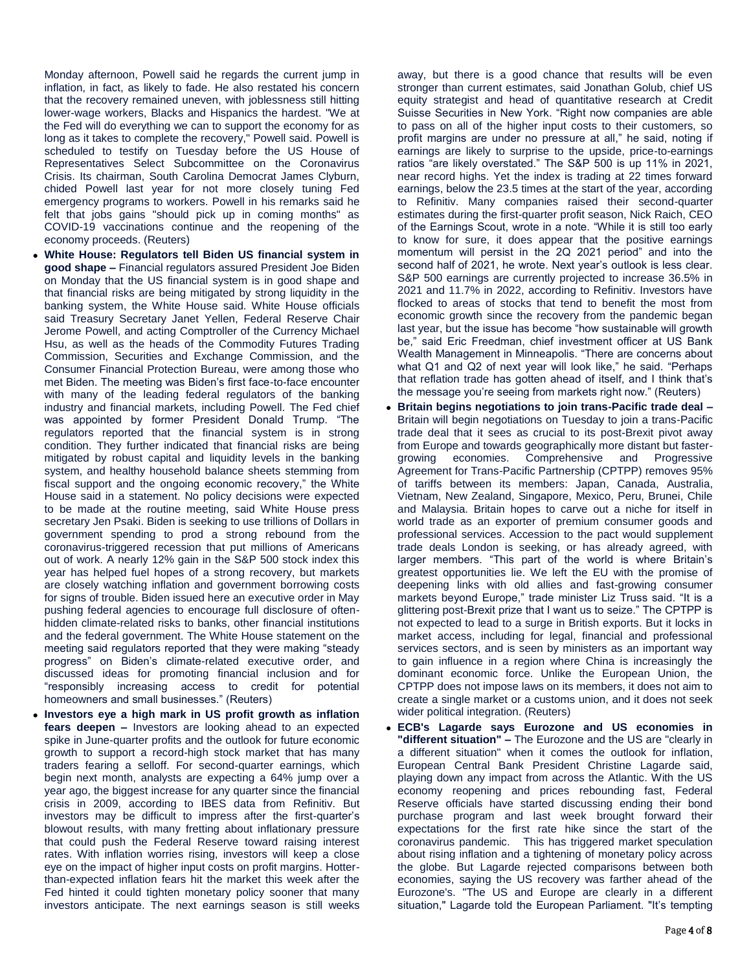Monday afternoon, Powell said he regards the current jump in inflation, in fact, as likely to fade. He also restated his concern that the recovery remained uneven, with joblessness still hitting lower-wage workers, Blacks and Hispanics the hardest. "We at the Fed will do everything we can to support the economy for as long as it takes to complete the recovery," Powell said. Powell is scheduled to testify on Tuesday before the US House of Representatives Select Subcommittee on the Coronavirus Crisis. Its chairman, South Carolina Democrat James Clyburn, chided Powell last year for not more closely tuning Fed emergency programs to workers. Powell in his remarks said he felt that jobs gains "should pick up in coming months" as COVID-19 vaccinations continue and the reopening of the economy proceeds. (Reuters)

- **White House: Regulators tell Biden US financial system in good shape –** Financial regulators assured President Joe Biden on Monday that the US financial system is in good shape and that financial risks are being mitigated by strong liquidity in the banking system, the White House said. White House officials said Treasury Secretary Janet Yellen, Federal Reserve Chair Jerome Powell, and acting Comptroller of the Currency Michael Hsu, as well as the heads of the Commodity Futures Trading Commission, Securities and Exchange Commission, and the Consumer Financial Protection Bureau, were among those who met Biden. The meeting was Biden's first face-to-face encounter with many of the leading federal regulators of the banking industry and financial markets, including Powell. The Fed chief was appointed by former President Donald Trump. "The regulators reported that the financial system is in strong condition. They further indicated that financial risks are being mitigated by robust capital and liquidity levels in the banking system, and healthy household balance sheets stemming from fiscal support and the ongoing economic recovery," the White House said in a statement. No policy decisions were expected to be made at the routine meeting, said White House press secretary Jen Psaki. Biden is seeking to use trillions of Dollars in government spending to prod a strong rebound from the coronavirus-triggered recession that put millions of Americans out of work. A nearly 12% gain in the S&P 500 stock index this year has helped fuel hopes of a strong recovery, but markets are closely watching inflation and government borrowing costs for signs of trouble. Biden issued here an executive order in May pushing federal agencies to encourage full disclosure of oftenhidden climate-related risks to banks, other financial institutions and the federal government. The White House statement on the meeting said regulators reported that they were making "steady progress" on Biden's climate-related executive order, and discussed ideas for promoting financial inclusion and for "responsibly increasing access to credit for potential homeowners and small businesses." (Reuters)
- **Investors eye a high mark in US profit growth as inflation fears deepen –** Investors are looking ahead to an expected spike in June-quarter profits and the outlook for future economic growth to support a record-high stock market that has many traders fearing a selloff. For second-quarter earnings, which begin next month, analysts are expecting a 64% jump over a year ago, the biggest increase for any quarter since the financial crisis in 2009, according to IBES data from Refinitiv. But investors may be difficult to impress after the first-quarter's blowout results, with many fretting about inflationary pressure that could push the Federal Reserve toward raising interest rates. With inflation worries rising, investors will keep a close eye on the impact of higher input costs on profit margins. Hotterthan-expected inflation fears hit the market this week after the Fed hinted it could tighten monetary policy sooner that many investors anticipate. The next earnings season is still weeks

away, but there is a good chance that results will be even stronger than current estimates, said Jonathan Golub, chief US equity strategist and head of quantitative research at Credit Suisse Securities in New York. "Right now companies are able to pass on all of the higher input costs to their customers, so profit margins are under no pressure at all," he said, noting if earnings are likely to surprise to the upside, price-to-earnings ratios "are likely overstated." The S&P 500 is up 11% in 2021, near record highs. Yet the index is trading at 22 times forward earnings, below the 23.5 times at the start of the year, according to Refinitiv. Many companies raised their second-quarter estimates during the first-quarter profit season, Nick Raich, CEO of the Earnings Scout, wrote in a note. "While it is still too early to know for sure, it does appear that the positive earnings momentum will persist in the 2Q 2021 period" and into the second half of 2021, he wrote. Next year's outlook is less clear. S&P 500 earnings are currently projected to increase 36.5% in 2021 and 11.7% in 2022, according to Refinitiv. Investors have flocked to areas of stocks that tend to benefit the most from economic growth since the recovery from the pandemic began last year, but the issue has become "how sustainable will growth be," said Eric Freedman, chief investment officer at US Bank Wealth Management in Minneapolis. "There are concerns about what Q1 and Q2 of next year will look like," he said. "Perhaps that reflation trade has gotten ahead of itself, and I think that's the message you're seeing from markets right now." (Reuters)

- **Britain begins negotiations to join trans-Pacific trade deal –** Britain will begin negotiations on Tuesday to join a trans-Pacific trade deal that it sees as crucial to its post-Brexit pivot away from Europe and towards geographically more distant but fastergrowing economies. Comprehensive and Progressive Agreement for Trans-Pacific Partnership (CPTPP) removes 95% of tariffs between its members: Japan, Canada, Australia, Vietnam, New Zealand, Singapore, Mexico, Peru, Brunei, Chile and Malaysia. Britain hopes to carve out a niche for itself in world trade as an exporter of premium consumer goods and professional services. Accession to the pact would supplement trade deals London is seeking, or has already agreed, with larger members. "This part of the world is where Britain's greatest opportunities lie. We left the EU with the promise of deepening links with old allies and fast-growing consumer markets beyond Europe," trade minister Liz Truss said. "It is a glittering post-Brexit prize that I want us to seize." The CPTPP is not expected to lead to a surge in British exports. But it locks in market access, including for legal, financial and professional services sectors, and is seen by ministers as an important way to gain influence in a region where China is increasingly the dominant economic force. Unlike the European Union, the CPTPP does not impose laws on its members, it does not aim to create a single market or a customs union, and it does not seek wider political integration. (Reuters)
- **ECB's Lagarde says Eurozone and US economies in "different situation" –** The Eurozone and the US are "clearly in a different situation" when it comes the outlook for inflation, European Central Bank President Christine Lagarde said, playing down any impact from across the Atlantic. With the US economy reopening and prices rebounding fast, Federal Reserve officials have started discussing ending their bond purchase program and last week brought forward their expectations for the first rate hike since the start of the coronavirus pandemic. This has triggered market speculation about rising inflation and a tightening of monetary policy across the globe. But Lagarde rejected comparisons between both economies, saying the US recovery was farther ahead of the Eurozone's. "The US and Europe are clearly in a different situation," Lagarde told the European Parliament. "It's tempting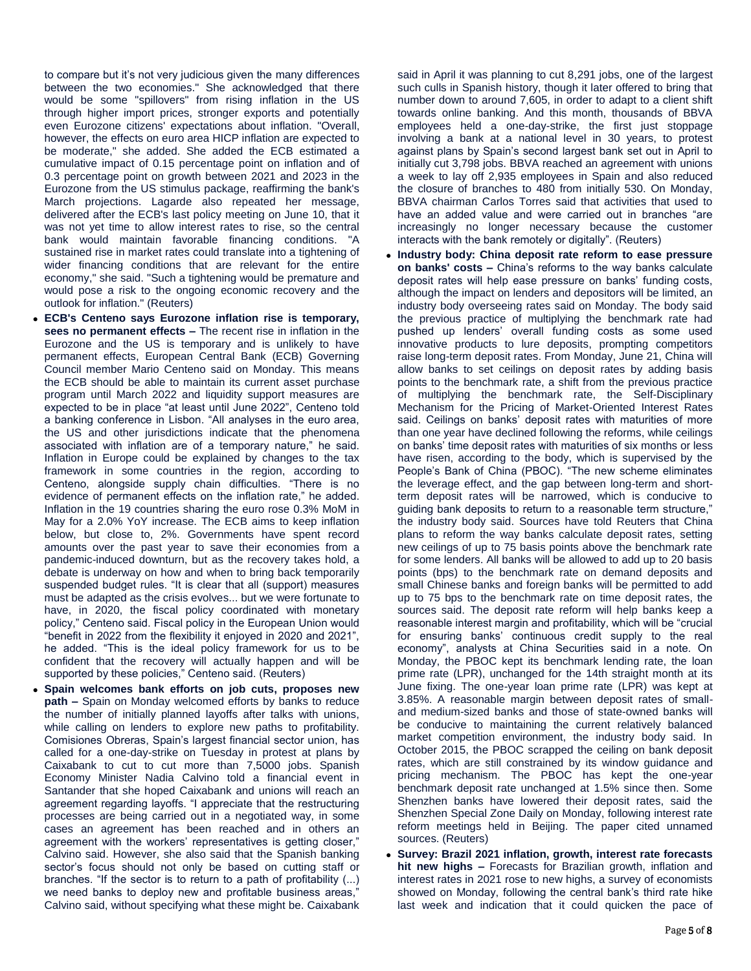to compare but it's not very judicious given the many differences between the two economies." She acknowledged that there would be some "spillovers" from rising inflation in the US through higher import prices, stronger exports and potentially even Eurozone citizens' expectations about inflation. "Overall, however, the effects on euro area HICP inflation are expected to be moderate," she added. She added the ECB estimated a cumulative impact of 0.15 percentage point on inflation and of 0.3 percentage point on growth between 2021 and 2023 in the Eurozone from the US stimulus package, reaffirming the bank's March projections. Lagarde also repeated her message, delivered after the ECB's last policy meeting on June 10, that it was not yet time to allow interest rates to rise, so the central bank would maintain favorable financing conditions. "A sustained rise in market rates could translate into a tightening of wider financing conditions that are relevant for the entire economy," she said. "Such a tightening would be premature and would pose a risk to the ongoing economic recovery and the outlook for inflation." (Reuters)

- **ECB's Centeno says Eurozone inflation rise is temporary, sees no permanent effects –** The recent rise in inflation in the Eurozone and the US is temporary and is unlikely to have permanent effects, European Central Bank (ECB) Governing Council member Mario Centeno said on Monday. This means the ECB should be able to maintain its current asset purchase program until March 2022 and liquidity support measures are expected to be in place "at least until June 2022", Centeno told a banking conference in Lisbon. "All analyses in the euro area, the US and other jurisdictions indicate that the phenomena associated with inflation are of a temporary nature," he said. Inflation in Europe could be explained by changes to the tax framework in some countries in the region, according to Centeno, alongside supply chain difficulties. "There is no evidence of permanent effects on the inflation rate," he added. Inflation in the 19 countries sharing the euro rose 0.3% MoM in May for a 2.0% YoY increase. The ECB aims to keep inflation below, but close to, 2%. Governments have spent record amounts over the past year to save their economies from a pandemic-induced downturn, but as the recovery takes hold, a debate is underway on how and when to bring back temporarily suspended budget rules. "It is clear that all (support) measures must be adapted as the crisis evolves... but we were fortunate to have, in 2020, the fiscal policy coordinated with monetary policy," Centeno said. Fiscal policy in the European Union would "benefit in 2022 from the flexibility it enjoyed in 2020 and 2021", he added. "This is the ideal policy framework for us to be confident that the recovery will actually happen and will be supported by these policies," Centeno said. (Reuters)
- **Spain welcomes bank efforts on job cuts, proposes new path –** Spain on Monday welcomed efforts by banks to reduce the number of initially planned layoffs after talks with unions, while calling on lenders to explore new paths to profitability. Comisiones Obreras, Spain's largest financial sector union, has called for a one-day-strike on Tuesday in protest at plans by Caixabank to cut to cut more than 7,5000 jobs. Spanish Economy Minister Nadia Calvino told a financial event in Santander that she hoped Caixabank and unions will reach an agreement regarding layoffs. "I appreciate that the restructuring processes are being carried out in a negotiated way, in some cases an agreement has been reached and in others an agreement with the workers' representatives is getting closer," Calvino said. However, she also said that the Spanish banking sector's focus should not only be based on cutting staff or branches. "If the sector is to return to a path of profitability (...) we need banks to deploy new and profitable business areas, Calvino said, without specifying what these might be. Caixabank

said in April it was planning to cut 8,291 jobs, one of the largest such culls in Spanish history, though it later offered to bring that number down to around 7,605, in order to adapt to a client shift towards online banking. And this month, thousands of BBVA employees held a one-day-strike, the first just stoppage involving a bank at a national level in 30 years, to protest against plans by Spain's second largest bank set out in April to initially cut 3,798 jobs. BBVA reached an agreement with unions a week to lay off 2,935 employees in Spain and also reduced the closure of branches to 480 from initially 530. On Monday, BBVA chairman Carlos Torres said that activities that used to have an added value and were carried out in branches "are increasingly no longer necessary because the customer interacts with the bank remotely or digitally". (Reuters)

- **Industry body: China deposit rate reform to ease pressure on banks' costs –** China's reforms to the way banks calculate deposit rates will help ease pressure on banks' funding costs, although the impact on lenders and depositors will be limited, an industry body overseeing rates said on Monday. The body said the previous practice of multiplying the benchmark rate had pushed up lenders' overall funding costs as some used innovative products to lure deposits, prompting competitors raise long-term deposit rates. From Monday, June 21, China will allow banks to set ceilings on deposit rates by adding basis points to the benchmark rate, a shift from the previous practice of multiplying the benchmark rate, the Self-Disciplinary Mechanism for the Pricing of Market-Oriented Interest Rates said. Ceilings on banks' deposit rates with maturities of more than one year have declined following the reforms, while ceilings on banks' time deposit rates with maturities of six months or less have risen, according to the body, which is supervised by the People's Bank of China (PBOC). "The new scheme eliminates the leverage effect, and the gap between long-term and shortterm deposit rates will be narrowed, which is conducive to guiding bank deposits to return to a reasonable term structure," the industry body said. Sources have told Reuters that China plans to reform the way banks calculate deposit rates, setting new ceilings of up to 75 basis points above the benchmark rate for some lenders. All banks will be allowed to add up to 20 basis points (bps) to the benchmark rate on demand deposits and small Chinese banks and foreign banks will be permitted to add up to 75 bps to the benchmark rate on time deposit rates, the sources said. The deposit rate reform will help banks keep a reasonable interest margin and profitability, which will be "crucial for ensuring banks' continuous credit supply to the real economy", analysts at China Securities said in a note. On Monday, the PBOC kept its benchmark lending rate, the loan prime rate (LPR), unchanged for the 14th straight month at its June fixing. The one-year loan prime rate (LPR) was kept at 3.85%. A reasonable margin between deposit rates of smalland medium-sized banks and those of state-owned banks will be conducive to maintaining the current relatively balanced market competition environment, the industry body said. In October 2015, the PBOC scrapped the ceiling on bank deposit rates, which are still constrained by its window guidance and pricing mechanism. The PBOC has kept the one-year benchmark deposit rate unchanged at 1.5% since then. Some Shenzhen banks have lowered their deposit rates, said the Shenzhen Special Zone Daily on Monday, following interest rate reform meetings held in Beijing. The paper cited unnamed sources. (Reuters)
- **Survey: Brazil 2021 inflation, growth, interest rate forecasts hit new highs –** Forecasts for Brazilian growth, inflation and interest rates in 2021 rose to new highs, a survey of economists showed on Monday, following the central bank's third rate hike last week and indication that it could quicken the pace of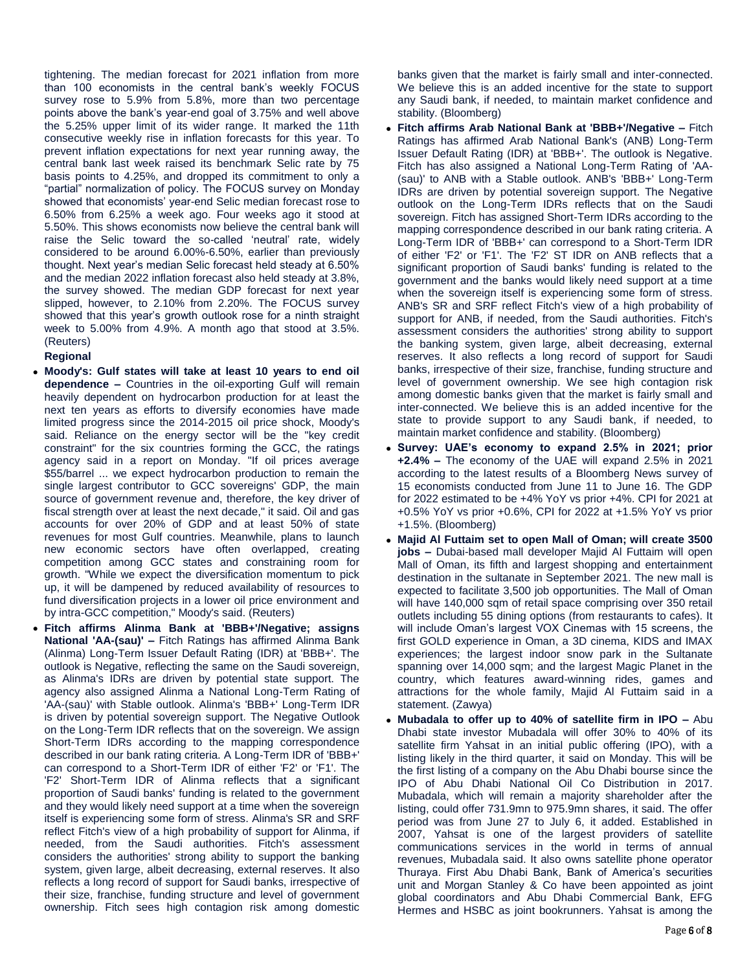tightening. The median forecast for 2021 inflation from more than 100 economists in the central bank's weekly FOCUS survey rose to 5.9% from 5.8%, more than two percentage points above the bank's year-end goal of 3.75% and well above the 5.25% upper limit of its wider range. It marked the 11th consecutive weekly rise in inflation forecasts for this year. To prevent inflation expectations for next year running away, the central bank last week raised its benchmark Selic rate by 75 basis points to 4.25%, and dropped its commitment to only a "partial" normalization of policy. The FOCUS survey on Monday showed that economists' year-end Selic median forecast rose to 6.50% from 6.25% a week ago. Four weeks ago it stood at 5.50%. This shows economists now believe the central bank will raise the Selic toward the so-called 'neutral' rate, widely considered to be around 6.00%-6.50%, earlier than previously thought. Next year's median Selic forecast held steady at 6.50% and the median 2022 inflation forecast also held steady at 3.8%, the survey showed. The median GDP forecast for next year slipped, however, to 2.10% from 2.20%. The FOCUS survey showed that this year's growth outlook rose for a ninth straight week to 5.00% from 4.9%. A month ago that stood at 3.5%. (Reuters)

# **Regional**

- **Moody's: Gulf states will take at least 10 years to end oil dependence –** Countries in the oil-exporting Gulf will remain heavily dependent on hydrocarbon production for at least the next ten years as efforts to diversify economies have made limited progress since the 2014-2015 oil price shock, Moody's said. Reliance on the energy sector will be the "key credit constraint" for the six countries forming the GCC, the ratings agency said in a report on Monday. "If oil prices average \$55/barrel ... we expect hydrocarbon production to remain the single largest contributor to GCC sovereigns' GDP, the main source of government revenue and, therefore, the key driver of fiscal strength over at least the next decade," it said. Oil and gas accounts for over 20% of GDP and at least 50% of state revenues for most Gulf countries. Meanwhile, plans to launch new economic sectors have often overlapped, creating competition among GCC states and constraining room for growth. "While we expect the diversification momentum to pick up, it will be dampened by reduced availability of resources to fund diversification projects in a lower oil price environment and by intra-GCC competition," Moody's said. (Reuters)
- **Fitch affirms Alinma Bank at 'BBB+'/Negative; assigns National 'AA-(sau)' –** Fitch Ratings has affirmed Alinma Bank (Alinma) Long-Term Issuer Default Rating (IDR) at 'BBB+'. The outlook is Negative, reflecting the same on the Saudi sovereign, as Alinma's IDRs are driven by potential state support. The agency also assigned Alinma a National Long-Term Rating of 'AA-(sau)' with Stable outlook. Alinma's 'BBB+' Long-Term IDR is driven by potential sovereign support. The Negative Outlook on the Long-Term IDR reflects that on the sovereign. We assign Short-Term IDRs according to the mapping correspondence described in our bank rating criteria. A Long-Term IDR of 'BBB+' can correspond to a Short-Term IDR of either 'F2' or 'F1'. The 'F2' Short-Term IDR of Alinma reflects that a significant proportion of Saudi banks' funding is related to the government and they would likely need support at a time when the sovereign itself is experiencing some form of stress. Alinma's SR and SRF reflect Fitch's view of a high probability of support for Alinma, if needed, from the Saudi authorities. Fitch's assessment considers the authorities' strong ability to support the banking system, given large, albeit decreasing, external reserves. It also reflects a long record of support for Saudi banks, irrespective of their size, franchise, funding structure and level of government ownership. Fitch sees high contagion risk among domestic

banks given that the market is fairly small and inter-connected. We believe this is an added incentive for the state to support any Saudi bank, if needed, to maintain market confidence and stability. (Bloomberg)

- **Fitch affirms Arab National Bank at 'BBB+'/Negative –** Fitch Ratings has affirmed Arab National Bank's (ANB) Long-Term Issuer Default Rating (IDR) at 'BBB+'. The outlook is Negative. Fitch has also assigned a National Long-Term Rating of 'AA- (sau)' to ANB with a Stable outlook. ANB's 'BBB+' Long-Term IDRs are driven by potential sovereign support. The Negative outlook on the Long-Term IDRs reflects that on the Saudi sovereign. Fitch has assigned Short-Term IDRs according to the mapping correspondence described in our bank rating criteria. A Long-Term IDR of 'BBB+' can correspond to a Short-Term IDR of either 'F2' or 'F1'. The 'F2' ST IDR on ANB reflects that a significant proportion of Saudi banks' funding is related to the government and the banks would likely need support at a time when the sovereign itself is experiencing some form of stress. ANB's SR and SRF reflect Fitch's view of a high probability of support for ANB, if needed, from the Saudi authorities. Fitch's assessment considers the authorities' strong ability to support the banking system, given large, albeit decreasing, external reserves. It also reflects a long record of support for Saudi banks, irrespective of their size, franchise, funding structure and level of government ownership. We see high contagion risk among domestic banks given that the market is fairly small and inter-connected. We believe this is an added incentive for the state to provide support to any Saudi bank, if needed, to maintain market confidence and stability. (Bloomberg)
- **Survey: UAE's economy to expand 2.5% in 2021; prior +2.4% –** The economy of the UAE will expand 2.5% in 2021 according to the latest results of a Bloomberg News survey of 15 economists conducted from June 11 to June 16. The GDP for 2022 estimated to be +4% YoY vs prior +4%. CPI for 2021 at +0.5% YoY vs prior +0.6%, CPI for 2022 at +1.5% YoY vs prior +1.5%. (Bloomberg)
- **Majid Al Futtaim set to open Mall of Oman; will create 3500 jobs –** Dubai-based mall developer Majid Al Futtaim will open Mall of Oman, its fifth and largest shopping and entertainment destination in the sultanate in September 2021. The new mall is expected to facilitate 3,500 job opportunities. The Mall of Oman will have 140,000 sqm of retail space comprising over 350 retail outlets including 55 dining options (from restaurants to cafes). It will include Oman's largest VOX Cinemas with 15 screens, the first GOLD experience in Oman, a 3D cinema, KIDS and IMAX experiences; the largest indoor snow park in the Sultanate spanning over 14,000 sqm; and the largest Magic Planet in the country, which features award-winning rides, games and attractions for the whole family, Majid Al Futtaim said in a statement. (Zawya)
- **Mubadala to offer up to 40% of satellite firm in IPO –** Abu Dhabi state investor Mubadala will offer 30% to 40% of its satellite firm Yahsat in an initial public offering (IPO), with a listing likely in the third quarter, it said on Monday. This will be the first listing of a company on the Abu Dhabi bourse since the IPO of Abu Dhabi National Oil Co Distribution in 2017. Mubadala, which will remain a majority shareholder after the listing, could offer 731.9mn to 975.9mn shares, it said. The offer period was from June 27 to July 6, it added. Established in 2007, Yahsat is one of the largest providers of satellite communications services in the world in terms of annual revenues, Mubadala said. It also owns satellite phone operator Thuraya. First Abu Dhabi Bank, Bank of America's securities unit and Morgan Stanley & Co have been appointed as joint global coordinators and Abu Dhabi Commercial Bank, EFG Hermes and HSBC as joint bookrunners. Yahsat is among the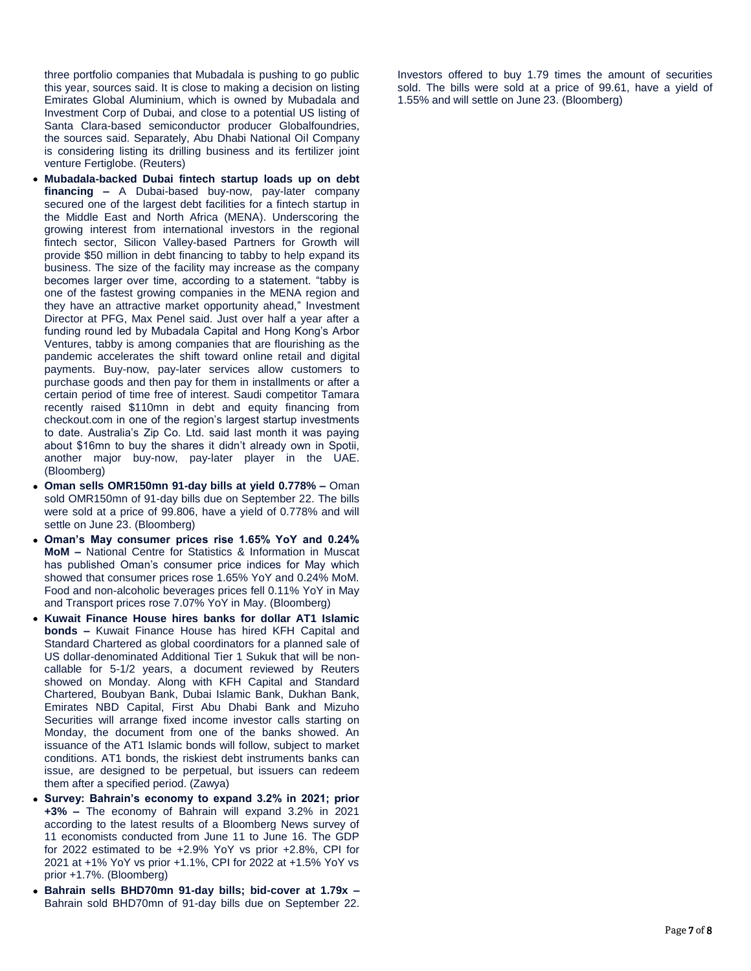three portfolio companies that Mubadala is pushing to go public this year, sources said. It is close to making a decision on listing Emirates Global Aluminium, which is owned by Mubadala and Investment Corp of Dubai, and close to a potential US listing of Santa Clara-based semiconductor producer Globalfoundries, the sources said. Separately, Abu Dhabi National Oil Company is considering listing its drilling business and its fertilizer joint venture Fertiglobe. (Reuters)

- **Mubadala-backed Dubai fintech startup loads up on debt financing –** A Dubai-based buy-now, pay-later company secured one of the largest debt facilities for a fintech startup in the Middle East and North Africa (MENA). Underscoring the growing interest from international investors in the regional fintech sector, Silicon Valley-based Partners for Growth will provide \$50 million in debt financing to tabby to help expand its business. The size of the facility may increase as the company becomes larger over time, according to a statement. "tabby is one of the fastest growing companies in the MENA region and they have an attractive market opportunity ahead," Investment Director at PFG, Max Penel said. Just over half a year after a funding round led by Mubadala Capital and Hong Kong's Arbor Ventures, tabby is among companies that are flourishing as the pandemic accelerates the shift toward online retail and digital payments. Buy-now, pay-later services allow customers to purchase goods and then pay for them in installments or after a certain period of time free of interest. Saudi competitor Tamara recently raised \$110mn in debt and equity financing from checkout.com in one of the region's largest startup investments to date. Australia's Zip Co. Ltd. said last month it was paying about \$16mn to buy the shares it didn't already own in Spotii, another major buy-now, pay-later player in the UAE. (Bloomberg)
- **Oman sells OMR150mn 91-day bills at yield 0.778% –** Oman sold OMR150mn of 91-day bills due on September 22. The bills were sold at a price of 99.806, have a yield of 0.778% and will settle on June 23. (Bloomberg)
- **Oman's May consumer prices rise 1.65% YoY and 0.24% MoM –** National Centre for Statistics & Information in Muscat has published Oman's consumer price indices for May which showed that consumer prices rose 1.65% YoY and 0.24% MoM. Food and non-alcoholic beverages prices fell 0.11% YoY in May and Transport prices rose 7.07% YoY in May. (Bloomberg)
- **Kuwait Finance House hires banks for dollar AT1 Islamic bonds –** Kuwait Finance House has hired KFH Capital and Standard Chartered as global coordinators for a planned sale of US dollar-denominated Additional Tier 1 Sukuk that will be noncallable for 5-1/2 years, a document reviewed by Reuters showed on Monday. Along with KFH Capital and Standard Chartered, Boubyan Bank, Dubai Islamic Bank, Dukhan Bank, Emirates NBD Capital, First Abu Dhabi Bank and Mizuho Securities will arrange fixed income investor calls starting on Monday, the document from one of the banks showed. An issuance of the AT1 Islamic bonds will follow, subject to market conditions. AT1 bonds, the riskiest debt instruments banks can issue, are designed to be perpetual, but issuers can redeem them after a specified period. (Zawya)
- **Survey: Bahrain's economy to expand 3.2% in 2021; prior +3% –** The economy of Bahrain will expand 3.2% in 2021 according to the latest results of a Bloomberg News survey of 11 economists conducted from June 11 to June 16. The GDP for 2022 estimated to be +2.9% YoY vs prior +2.8%, CPI for 2021 at +1% YoY vs prior +1.1%, CPI for 2022 at +1.5% YoY vs prior +1.7%. (Bloomberg)
- **Bahrain sells BHD70mn 91-day bills; bid-cover at 1.79x –** Bahrain sold BHD70mn of 91-day bills due on September 22.

Investors offered to buy 1.79 times the amount of securities sold. The bills were sold at a price of 99.61, have a yield of 1.55% and will settle on June 23. (Bloomberg)